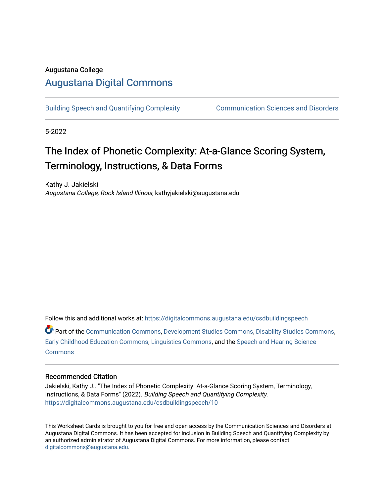### Augustana College

### [Augustana Digital Commons](https://digitalcommons.augustana.edu/)

[Building Speech and Quantifying Complexity](https://digitalcommons.augustana.edu/csdbuildingspeech) [Communication Sciences and Disorders](https://digitalcommons.augustana.edu/csd) 

5-2022

## The Index of Phonetic Complexity: At-a-Glance Scoring System, Terminology, Instructions, & Data Forms

Kathy J. Jakielski Augustana College, Rock Island Illinois, kathyjakielski@augustana.edu

Follow this and additional works at: [https://digitalcommons.augustana.edu/csdbuildingspeech](https://digitalcommons.augustana.edu/csdbuildingspeech?utm_source=digitalcommons.augustana.edu%2Fcsdbuildingspeech%2F10&utm_medium=PDF&utm_campaign=PDFCoverPages)

Part of the [Communication Commons,](http://network.bepress.com/hgg/discipline/325?utm_source=digitalcommons.augustana.edu%2Fcsdbuildingspeech%2F10&utm_medium=PDF&utm_campaign=PDFCoverPages) [Development Studies Commons,](http://network.bepress.com/hgg/discipline/1422?utm_source=digitalcommons.augustana.edu%2Fcsdbuildingspeech%2F10&utm_medium=PDF&utm_campaign=PDFCoverPages) [Disability Studies Commons](http://network.bepress.com/hgg/discipline/1417?utm_source=digitalcommons.augustana.edu%2Fcsdbuildingspeech%2F10&utm_medium=PDF&utm_campaign=PDFCoverPages), [Early Childhood Education Commons,](http://network.bepress.com/hgg/discipline/1377?utm_source=digitalcommons.augustana.edu%2Fcsdbuildingspeech%2F10&utm_medium=PDF&utm_campaign=PDFCoverPages) [Linguistics Commons,](http://network.bepress.com/hgg/discipline/371?utm_source=digitalcommons.augustana.edu%2Fcsdbuildingspeech%2F10&utm_medium=PDF&utm_campaign=PDFCoverPages) and the [Speech and Hearing Science](http://network.bepress.com/hgg/discipline/1033?utm_source=digitalcommons.augustana.edu%2Fcsdbuildingspeech%2F10&utm_medium=PDF&utm_campaign=PDFCoverPages) **[Commons](http://network.bepress.com/hgg/discipline/1033?utm_source=digitalcommons.augustana.edu%2Fcsdbuildingspeech%2F10&utm_medium=PDF&utm_campaign=PDFCoverPages)** 

### Recommended Citation

Jakielski, Kathy J.. "The Index of Phonetic Complexity: At-a-Glance Scoring System, Terminology, Instructions, & Data Forms" (2022). Building Speech and Quantifying Complexity. [https://digitalcommons.augustana.edu/csdbuildingspeech/10](https://digitalcommons.augustana.edu/csdbuildingspeech/10?utm_source=digitalcommons.augustana.edu%2Fcsdbuildingspeech%2F10&utm_medium=PDF&utm_campaign=PDFCoverPages) 

This Worksheet Cards is brought to you for free and open access by the Communication Sciences and Disorders at Augustana Digital Commons. It has been accepted for inclusion in Building Speech and Quantifying Complexity by an authorized administrator of Augustana Digital Commons. For more information, please contact [digitalcommons@augustana.edu](mailto:digitalcommons@augustana.edu).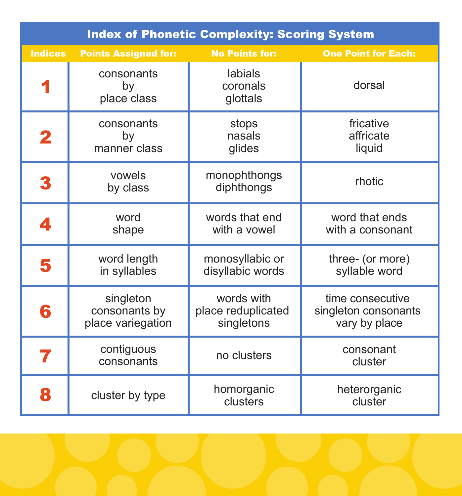| <b>Index of Phonetic Complexity: Scoring System</b> |                                                 |                                                |                                                           |  |  |  |  |  |  |
|-----------------------------------------------------|-------------------------------------------------|------------------------------------------------|-----------------------------------------------------------|--|--|--|--|--|--|
| <b>Indices</b>                                      | <b>Points Assigned for:</b>                     | <b>No Points for:</b>                          | <b>One Point for Each:</b>                                |  |  |  |  |  |  |
|                                                     | consonants<br>by<br>place class                 | labials<br>coronals<br>glottals                | dorsal                                                    |  |  |  |  |  |  |
| 2                                                   | consonants<br>by<br>manner class                | stops<br>nasals<br>glides                      | fricative<br>affricate<br>liquid                          |  |  |  |  |  |  |
| 3                                                   | vowels<br>by class                              | monophthongs<br>diphthongs                     | rhotic                                                    |  |  |  |  |  |  |
| 4                                                   | word<br>shape                                   | words that end<br>with a vowel                 | word that ends<br>with a consonant                        |  |  |  |  |  |  |
| 5                                                   | word length<br>in syllables                     | monosyllabic or<br>disyllabic words            | three- (or more)<br>syllable word                         |  |  |  |  |  |  |
| 6                                                   | singleton<br>consonants by<br>place variegation | words with<br>place reduplicated<br>singletons | time consecutive<br>singleton consonants<br>vary by place |  |  |  |  |  |  |
| 7                                                   | contiguous<br>consonants                        | no clusters                                    | consonant<br>cluster                                      |  |  |  |  |  |  |
| 8                                                   | cluster by type                                 | homorganic<br>clusters                         | heterorganic<br>cluster                                   |  |  |  |  |  |  |

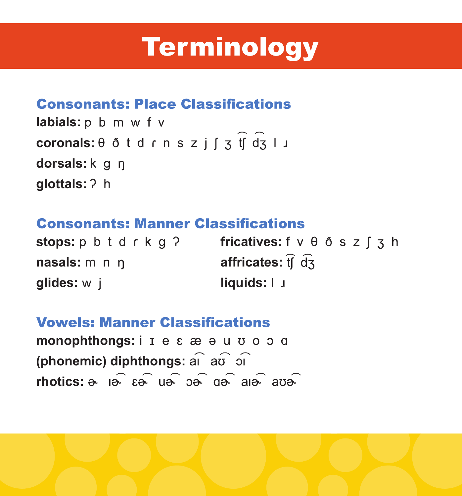## **Terminology**

### **Consonants: Place Classifications**

labials: p b m w f v **coronals:** θ ð t d r n s z j ſ ʒ tʃ dʒ l 」 dorsals: k q n glottals: ? h

### **Consonants: Manner Classifications**

| stops: p b t d r k g ? | fricatives: $f \vee \theta$ $\delta$ s z $\int$ 3 h |
|------------------------|-----------------------------------------------------|
| nasals: m n n          | affricates: $\widehat{f}$ d $\widehat{d}$ 3         |
| <b>glides:</b> w j     | $liquids: 1 \cup$                                   |

### **Vowels: Manner Classifications**

**monophthongs:** i I e ε æ e u σ o o α **(phonemic) diphthongs:** a  $\widehat{a}$  a  $\widehat{b}$  o  $\widehat{a}$ **rhotics:**

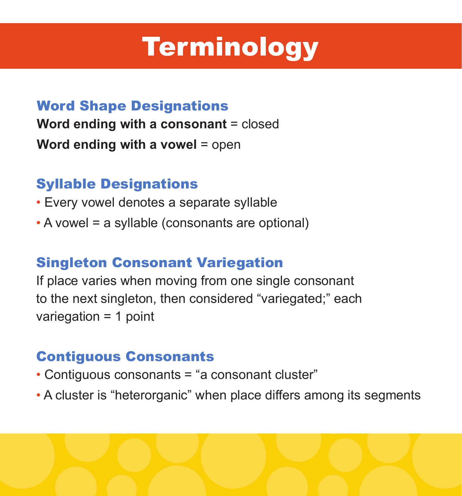# **Terminology**

### Word Shape Designations

**Word ending with a consonant** = closed **Word ending with a vowel** = open

### Syllable Designations

- Every vowel denotes a separate syllable
- A vowel = a syllable (consonants are optional)

### Singleton Consonant Variegation

If place varies when moving from one single consonant to the next singleton, then considered "variegated;" each variegation = 1 point

#### Contiguous Consonants

- Contiguous consonants = "a consonant cluster"
- A cluster is "heterorganic" when place differs among its segments

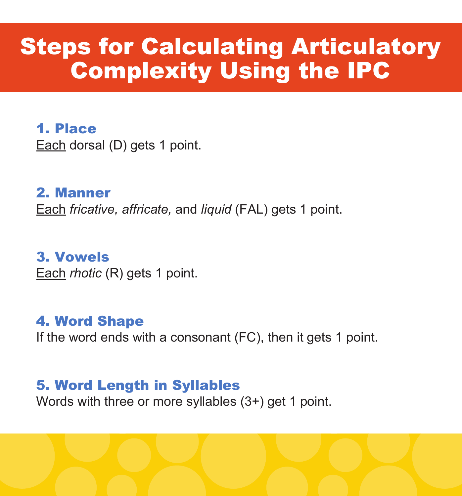### Steps for Calculating Articulatory Complexity Using the IPC

1. Place Each dorsal (D) gets 1 point.

2. Manner Each *fricative, affricate,* and *liquid* (FAL) gets 1 point.

3. Vowels Each *rhotic* (R) gets 1 point.

4. Word Shape If the word ends with a consonant (FC), then it gets 1 point.

5. Word Length in Syllables Words with three or more syllables (3+) get 1 point.

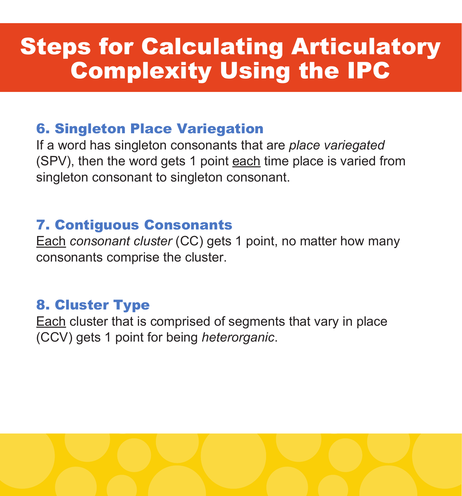### Steps for Calculating Articulatory Complexity Using the IPC

### 6. Singleton Place Variegation

If a word has singleton consonants that are *place variegated* (SPV), then the word gets 1 point each time place is varied from singleton consonant to singleton consonant.

### 7. Contiguous Consonants

Each *consonant cluster* (CC) gets 1 point, no matter how many consonants comprise the cluster.

### 8. Cluster Type

Each cluster that is comprised of segments that vary in place (CCV) gets 1 point for being *heterorganic*.

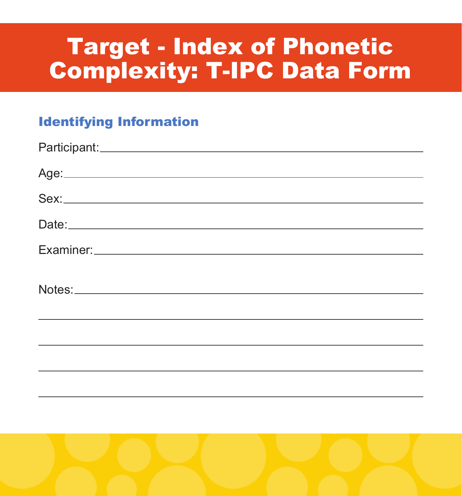### Target - Index of Phonetic Complexity: T-IPC Data Form

#### Identifying Information

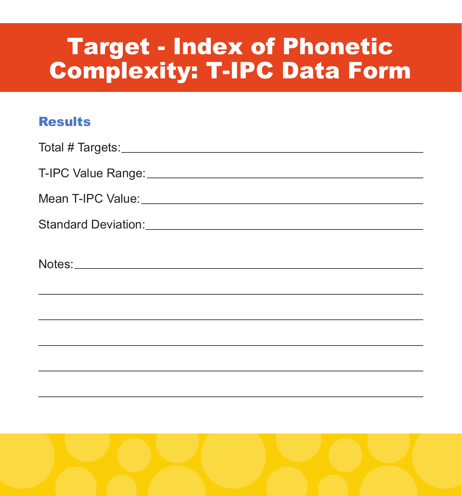### Target - Index of Phonetic Complexity: T-IPC Data Form

#### **Results**

| <u>and the contract of the contract of the contract of the contract of the contract of the contract of the contract of the contract of the contract of the contract of the contract of the contract of the contract of the contr</u> |
|--------------------------------------------------------------------------------------------------------------------------------------------------------------------------------------------------------------------------------------|
|                                                                                                                                                                                                                                      |
|                                                                                                                                                                                                                                      |
|                                                                                                                                                                                                                                      |
|                                                                                                                                                                                                                                      |

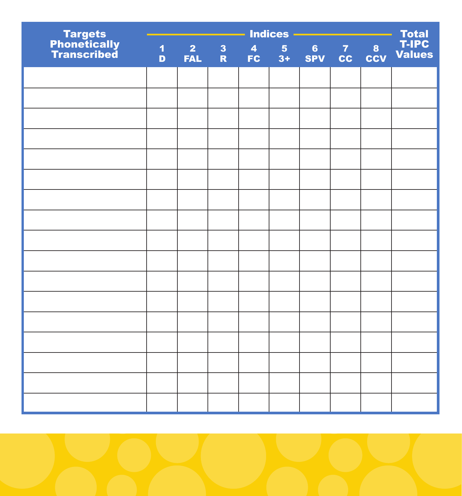|                                        | <b>Indices</b><br>Total<br>6 7 8 T-IPC<br>SPV CC CCV Values |                              |               |                       |                        |  |  |  |  |
|----------------------------------------|-------------------------------------------------------------|------------------------------|---------------|-----------------------|------------------------|--|--|--|--|
| Targets<br>Phonetically<br>Transcribed | $\overline{\mathbf{1}}$<br>$\mathbf{D}$                     | 2 <sup>7</sup><br><b>FAL</b> | $\frac{3}{R}$ | $\overline{4}$<br>FC. | 5 <sub>5</sub><br>$3+$ |  |  |  |  |
|                                        |                                                             |                              |               |                       |                        |  |  |  |  |
|                                        |                                                             |                              |               |                       |                        |  |  |  |  |
|                                        |                                                             |                              |               |                       |                        |  |  |  |  |
|                                        |                                                             |                              |               |                       |                        |  |  |  |  |
|                                        |                                                             |                              |               |                       |                        |  |  |  |  |
|                                        |                                                             |                              |               |                       |                        |  |  |  |  |
|                                        |                                                             |                              |               |                       |                        |  |  |  |  |
|                                        |                                                             |                              |               |                       |                        |  |  |  |  |
|                                        |                                                             |                              |               |                       |                        |  |  |  |  |
|                                        |                                                             |                              |               |                       |                        |  |  |  |  |
|                                        |                                                             |                              |               |                       |                        |  |  |  |  |
|                                        |                                                             |                              |               |                       |                        |  |  |  |  |
|                                        |                                                             |                              |               |                       |                        |  |  |  |  |
|                                        |                                                             |                              |               |                       |                        |  |  |  |  |
|                                        |                                                             |                              |               |                       |                        |  |  |  |  |
|                                        |                                                             |                              |               |                       |                        |  |  |  |  |
|                                        |                                                             |                              |               |                       |                        |  |  |  |  |

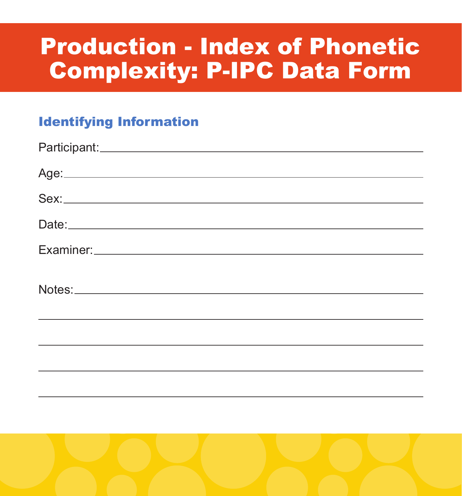### Production - Index of Phonetic Complexity: P-IPC Data Form

### Identifying Information

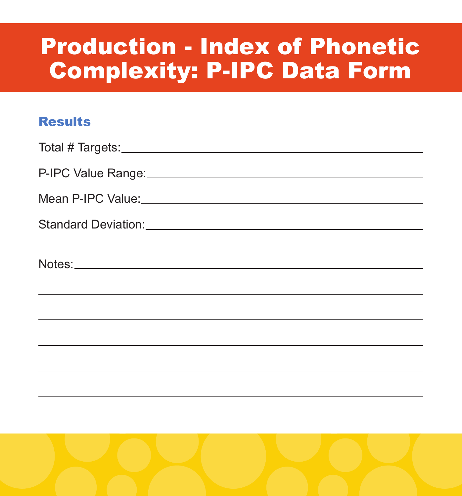### Production - Index of Phonetic Complexity: P-IPC Data Form

#### **Results**

| Mean P-IPC Value: Manual Annual Annual Annual Annual Annual Annual Annual Annual Annual Annual Annual Annual A |
|----------------------------------------------------------------------------------------------------------------|
| Standard Deviation: Manual Manual Manual Manual Manual Manual Manual Manual Manual Manual Manual Manual Manual |
|                                                                                                                |
|                                                                                                                |
|                                                                                                                |
|                                                                                                                |
|                                                                                                                |
|                                                                                                                |